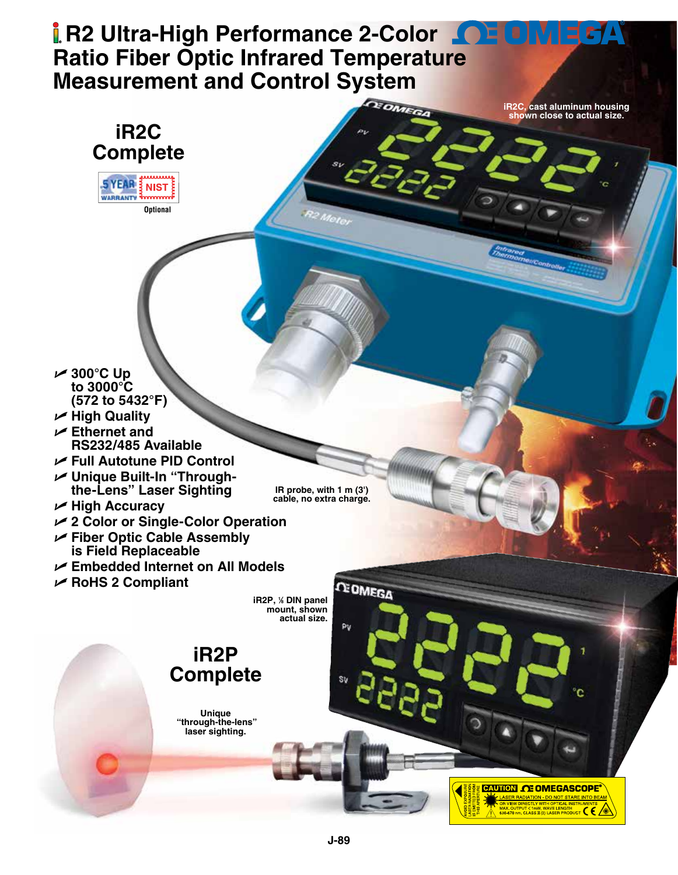# **R2 Ultra-High Performance 2-Color 10 FOM EDA Ratio Fiber Optic Infrared Temperatu[re](www.omega.com)  Measurement and Control System**

**iR2C, cast aluminum housing shown close to actual size.**

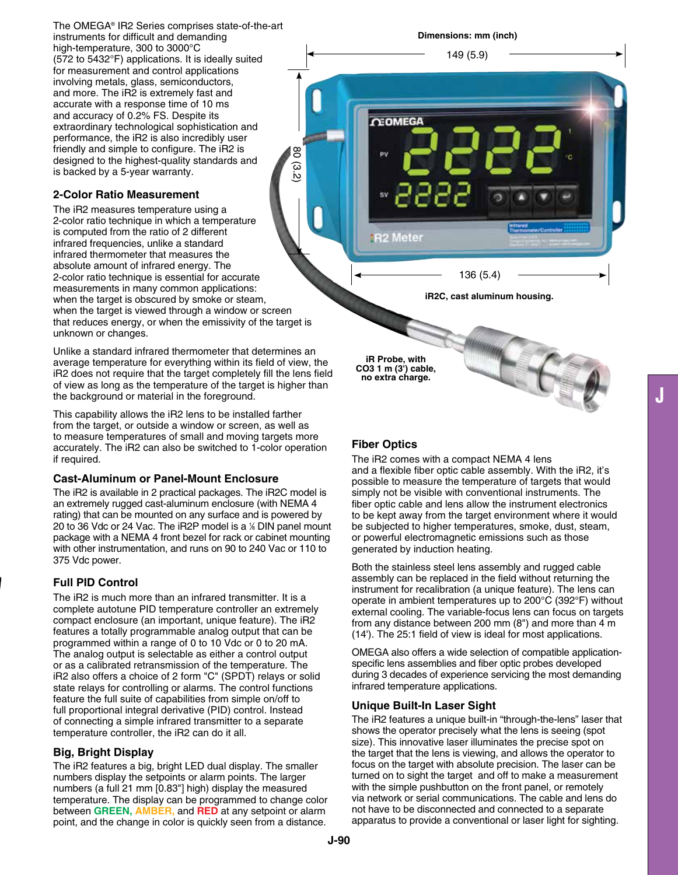The OMEGA® IR2 Series comprises state-of-the-art instruments for difficult and demanding high-temperature, 300 to 3000°C (572 to 5432°F) applications. It is ideally suited for measurement and control applications involving metals, glass, semiconductors, and more. The iR2 is extremely fast and accurate with a response time of 10 ms and accuracy of 0.2% FS. Despite its extraordinary technological sophistication and performance, the iR2 is also incredibly user friendly and simple to configure. The iR2 is designed to the highest-quality standards and is backed by a 5-year warranty.

## **2-Color Ratio Measurement**

The iR2 measures temperature using a 2-color ratio technique in which a temperature is computed from the ratio of 2 different infrared frequencies, unlike a standard infrared thermometer that measures the absolute amount of infrared energy. The 2-color ratio technique is essential for accurate measurements in many common applications: when the target is obscured by smoke or steam, when the target is viewed through a window or screen that reduces energy, or when the emissivity of the target is unknown or changes.

80 (3.2)

Unlike a standard infrared thermometer that determines an average temperature for everything within its field of view, the iR2 does not require that the target completely fill the lens field of view as long as the temperature of the target is higher than the background or material in the foreground.

This capability allows the iR2 lens to be installed farther from the target, or outside a window or screen, as well as to measure temperatures of small and moving targets more accurately. The iR2 can also be switched to 1-color operation if required.

### **Cast-Aluminum or Panel-Mount Enclosure**

The iR2 is available in 2 practical packages. The iR2C model is an extremely rugged cast-aluminum enclosure (with NEMA 4 rating) that can be mounted on any surface and is powered by 20 to 36 Vdc or 24 Vac. The iR2P model is a % DIN panel mount package with a NEMA 4 front bezel for rack or cabinet mounting with other instrumentation, and runs on 90 to 240 Vac or 110 to 375 Vdc power.

## **Full PID Control**

The iR2 is much more than an infrared transmitter. It is a complete autotune PID temperature controller an extremely compact enclosure (an important, unique feature). The iR2 features a totally programmable analog output that can be programmed within a range of 0 to 10 Vdc or 0 to 20 mA. The analog output is selectable as either a control output or as a calibrated retransmission of the temperature. The iR2 also offers a choice of 2 form "C" (SPDT) relays or solid state relays for controlling or alarms. The control functions feature the full suite of capabilities from simple on/off to full proportional integral derivative (PID) control. Instead of connecting a simple infrared transmitter to a separate temperature controller, the iR2 can do it all.

### **Big, Bright Display**

The iR2 features a big, bright LED dual display. The smaller numbers display the setpoints or alarm points. The larger numbers (a full 21 mm [0.83"] high) display the measured temperature. The display can be programmed to change color between **GREEN, AMBER,** and **RED** at any setpoint or alarm point, and the change in color is quickly seen from a distance.

#### **Dimensions: mm (inch)**

149 (5.9)

**iR2C, cast aluminum housing.**

136 (5.4)

**iR Probe, with CO3 1 m (3') cable, no extra charge.**

**CEOMEGA** 

**R2 Meter** 

### **Fiber Optics**

The iR2 comes with a compact NEMA 4 lens and a flexible fiber optic cable assembly. With the iR2, it's possible to measure the temperature of targets that would simply not be visible with conventional instruments. The fiber optic cable and lens allow the instrument electronics to be kept away from the target environment where it would be subjected to higher temperatures, smoke, dust, steam, or powerful electromagnetic emissions such as those generated by induction heating.

Both the stainless steel lens assembly and rugged cable assembly can be replaced in the field without returning the instrument for recalibration (a unique feature). The lens can operate in ambient temperatures up to 200°C (392°F) without external cooling. The variable-focus lens can focus on targets from any distance between 200 mm (8") and more than 4 m (14'). The 25:1 field of view is ideal for most applications.

OMEGA also offers a wide selection of compatible applicationspecific lens assemblies and fiber optic probes developed during 3 decades of experience servicing the most demanding infrared temperature applications.

#### **Unique Built-In Laser Sight**

The iR2 features a unique built-in "through-the-lens" laser that shows the operator precisely what the lens is seeing (spot size). This innovative laser illuminates the precise spot on the target that the lens is viewing, and allows the operator to focus on the target with absolute precision. The laser can be turned on to sight the target and off to make a measurement with the simple pushbutton on the front panel, or remotely via network or serial communications. The cable and lens do not have to be disconnected and connected to a separate apparatus to provide a conventional or laser light for sighting.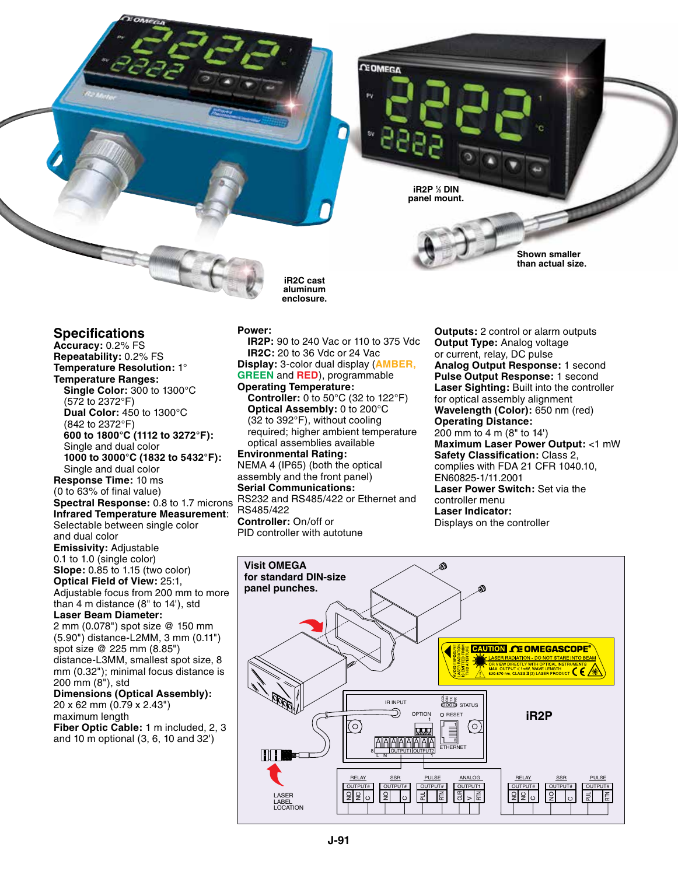**iR2P 1 ⁄8 DIN panel mount.**

**CEOMFGA** 

**Shown smaller than actual size.**

# **Specifications**

**Accuracy:** 0.2% FS **Repeatability:** 0.2% FS **Temperature Resolution:** 1° **Temperature Ranges: Single Color:** 300 to 1300°C (572 to 2372°F) **Dual Color:** 450 to 1300°C (842 to 2372°F) **600 to 1800°C (1112 to 3272°F):** Single and dual color **1000 to 3000°C (1832 to 5432°F):**  Single and dual color **Response Time:** 10 ms (0 to 63% of final value) **Spectral Response:** 0.8 to 1.7 microns **Infrared Temperature Measurement**: Selectable between single color and dual color **Emissivity:** Adjustable 0.1 to 1.0 (single color) **Slope:** 0.85 to 1.15 (two color) **Optical Field of View:** 25:1, Adjustable focus from 200 mm to more than 4 m distance (8" to 14'), std **Laser Beam Diameter:** 2 mm (0.078") spot size @ 150 mm (5.90") distance-L2MM, 3 mm (0.11") spot size @ 225 mm (8.85") distance-L3MM, smallest spot size, 8 mm (0.32"); minimal focus distance is 200 mm (8"), std **Dimensions (Optical Assembly):** 20 x 62 mm (0.79 x 2.43")

maximum length **Fiber Optic Cable:** 1 m included, 2, 3 and 10 m optional (3, 6, 10 and 32')

#### **Power:**

**IR2P:** 90 to 240 Vac or 110 to 375 Vdc **IR2C:** 20 to 36 Vdc or 24 Vac **Display:** 3-color dual display (**AMBER, GREEN** and **RED**), programmable **Operating Temperature: Controller:** 0 to 50°C (32 to 122°F) **Optical Assembly:** 0 to 200°C (32 to 392°F), without cooling required; higher ambient temperature optical assemblies available **Environmental Rating:** NEMA 4 (IP65) (both the optical assembly and the front panel) **Serial Communications:** RS232 and RS485/422 or Ethernet and RS485/422 **Controller:** On/off or PID controller with autotune

**iR2C cast aluminum enclosure.**

> **Outputs:** 2 control or alarm outputs **Output Type:** Analog voltage or current, relay, DC pulse **Analog Output Response:** 1 second **Pulse Output Response:** 1 second **Laser Sighting:** Built into the controller for optical assembly alignment **Wavelength (Color):** 650 nm (red) **Operating Distance:** 200 mm to 4 m (8" to 14') **Maximum Laser Power Output:** <1 mW **Safety Classification:** Class 2, complies with FDA 21 CFR 1040.10, EN60825-1/11.2001 **Laser Power Switch:** Set via the controller menu **Laser Indicator:** Displays on the controller